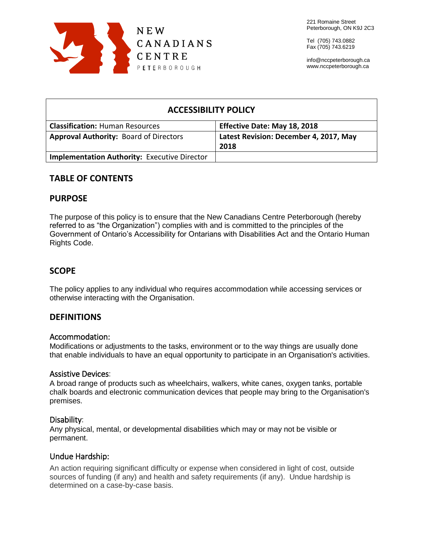

Tel (705) 743.0882 Fax (705) 743.6219

info@nccpeterborough.ca www.nccpeterborough.ca

# **ACCESSIBILITY POLICY Classification:** Human Resources **Effective Date: May 18, 2018 Approval Authority:** Board of Directors **Latest Revision: December 4, 2017, May 2018 Implementation Authority:** Executive Director

# **TABLE OF CONTENTS**

### **PURPOSE**

The purpose of this policy is to ensure that the New Canadians Centre Peterborough (hereby referred to as "the Organization") complies with and is committed to the principles of the Government of Ontario's Accessibility for Ontarians with Disabilities Act and the Ontario Human Rights Code.

# **SCOPE**

The policy applies to any individual who requires accommodation while accessing services or otherwise interacting with the Organisation.

# **DEFINITIONS**

### Accommodation:

Modifications or adjustments to the tasks, environment or to the way things are usually done that enable individuals to have an equal opportunity to participate in an Organisation's activities.

### Assistive Devices:

A broad range of products such as wheelchairs, walkers, white canes, oxygen tanks, portable chalk boards and electronic communication devices that people may bring to the Organisation's premises.

### Disability:

Any physical, mental, or developmental disabilities which may or may not be visible or permanent.

### Undue Hardship:

An action requiring significant difficulty or expense when considered in light of cost, outside sources of funding (if any) and health and safety requirements (if any). Undue hardship is determined on a case-by-case basis.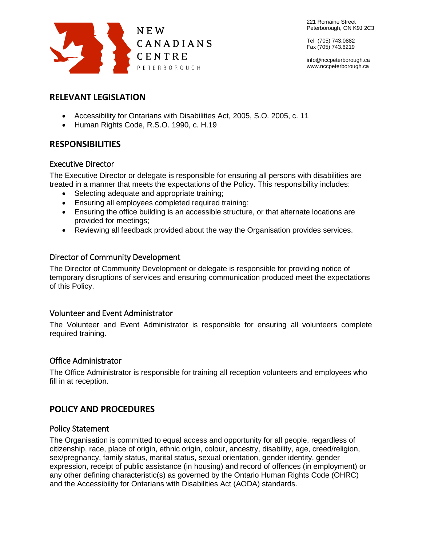

Tel (705) 743.0882 Fax (705) 743.6219

info@nccpeterborough.ca www.nccpeterborough.ca

# **RELEVANT LEGISLATION**

- Accessibility for Ontarians with Disabilities Act, 2005, S.O. 2005, c. 11
- Human Rights Code, R.S.O. 1990, c. H.19

# **RESPONSIBILITIES**

# Executive Director

The Executive Director or delegate is responsible for ensuring all persons with disabilities are treated in a manner that meets the expectations of the Policy. This responsibility includes:

- Selecting adequate and appropriate training;
- Ensuring all employees completed required training;
- Ensuring the office building is an accessible structure, or that alternate locations are provided for meetings;
- Reviewing all feedback provided about the way the Organisation provides services.

# Director of Community Development

The Director of Community Development or delegate is responsible for providing notice of temporary disruptions of services and ensuring communication produced meet the expectations of this Policy.

# Volunteer and Event Administrator

The Volunteer and Event Administrator is responsible for ensuring all volunteers complete required training.

# Office Administrator

The Office Administrator is responsible for training all reception volunteers and employees who fill in at reception.

# **POLICY AND PROCEDURES**

# Policy Statement

The Organisation is committed to equal access and opportunity for all people, regardless of citizenship, race, place of origin, ethnic origin, colour, ancestry, disability, age, creed/religion, sex/pregnancy, family status, marital status, sexual orientation, gender identity, gender expression, receipt of public assistance (in housing) and record of offences (in employment) or any other defining characteristic(s) as governed by the Ontario Human Rights Code (OHRC) and the Accessibility for Ontarians with Disabilities Act (AODA) standards.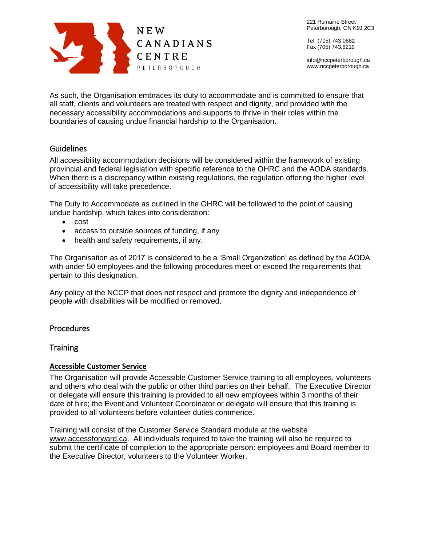

Tel (705) 743.0882 Fax (705) 743.6219

info@nccpeterborough.ca www.nccpeterborough.ca

As such, the Organisation embraces its duty to accommodate and is committed to ensure that all staff, clients and volunteers are treated with respect and dignity, and provided with the necessary accessibility accommodations and supports to thrive in their roles within the boundaries of causing undue financial hardship to the Organisation.

### **Guidelines**

All accessibility accommodation decisions will be considered within the framework of existing provincial and federal legislation with specific reference to the OHRC and the AODA standards. When there is a discrepancy within existing regulations, the regulation offering the higher level of accessibility will take precedence.

The Duty to Accommodate as outlined in the OHRC will be followed to the point of causing undue hardship, which takes into consideration:

- cost
- access to outside sources of funding, if any
- health and safety requirements, if any.

The Organisation as of 2017 is considered to be a 'Small Organization' as defined by the AODA with under 50 employees and the following procedures meet or exceed the requirements that pertain to this designation.

Any policy of the NCCP that does not respect and promote the dignity and independence of people with disabilities will be modified or removed.

### Procedures

### **Training**

#### **Accessible Customer Service**

The Organisation will provide Accessible Customer Service training to all employees, volunteers and others who deal with the public or other third parties on their behalf. The Executive Director or delegate will ensure this training is provided to all new employees within 3 months of their date of hire; the Event and Volunteer Coordinator or delegate will ensure that this training is provided to all volunteers before volunteer duties commence.

Training will consist of the Customer Service Standard module at the website www.accessforward.ca. All individuals required to take the training will also be required to submit the certificate of completion to the appropriate person: employees and Board member to the Executive Director, volunteers to the Volunteer Worker.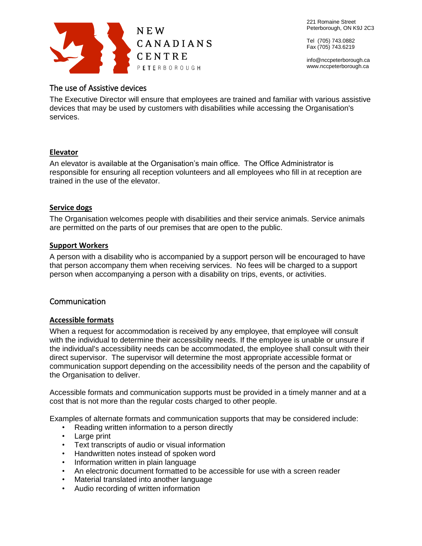

Tel (705) 743.0882 Fax (705) 743.6219

info@nccpeterborough.ca www.nccpeterborough.ca

# The use of Assistive devices

The Executive Director will ensure that employees are trained and familiar with various assistive devices that may be used by customers with disabilities while accessing the Organisation's services.

#### **Elevator**

An elevator is available at the Organisation's main office. The Office Administrator is responsible for ensuring all reception volunteers and all employees who fill in at reception are trained in the use of the elevator.

#### **Service dogs**

The Organisation welcomes people with disabilities and their service animals. Service animals are permitted on the parts of our premises that are open to the public.

#### **Support Workers**

A person with a disability who is accompanied by a support person will be encouraged to have that person accompany them when receiving services. No fees will be charged to a support person when accompanying a person with a disability on trips, events, or activities.

### Communication

### **Accessible formats**

When a request for accommodation is received by any employee, that employee will consult with the individual to determine their accessibility needs. If the employee is unable or unsure if the individual's accessibility needs can be accommodated, the employee shall consult with their direct supervisor. The supervisor will determine the most appropriate accessible format or communication support depending on the accessibility needs of the person and the capability of the Organisation to deliver.

Accessible formats and communication supports must be provided in a timely manner and at a cost that is not more than the regular costs charged to other people.

Examples of alternate formats and communication supports that may be considered include:

- Reading written information to a person directly
- Large print
- Text transcripts of audio or visual information
- Handwritten notes instead of spoken word
- Information written in plain language
- An electronic document formatted to be accessible for use with a screen reader
- Material translated into another language
- Audio recording of written information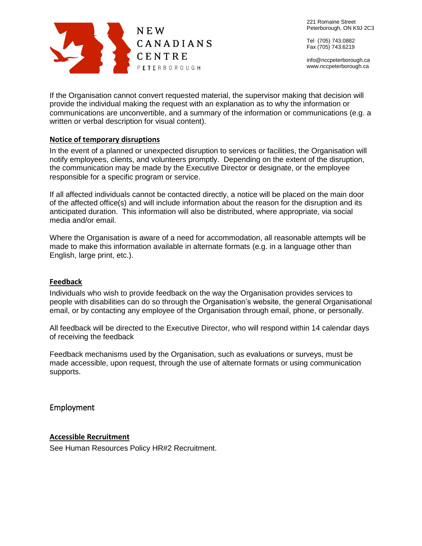

Tel (705) 743.0882 Fax (705) 743.6219

info@nccpeterborough.ca www.nccpeterborough.ca

If the Organisation cannot convert requested material, the supervisor making that decision will provide the individual making the request with an explanation as to why the information or communications are unconvertible, and a summary of the information or communications (e.g. a written or verbal description for visual content).

#### **Notice of temporary disruptions**

In the event of a planned or unexpected disruption to services or facilities, the Organisation will notify employees, clients, and volunteers promptly. Depending on the extent of the disruption, the communication may be made by the Executive Director or designate, or the employee responsible for a specific program or service.

If all affected individuals cannot be contacted directly, a notice will be placed on the main door of the affected office(s) and will include information about the reason for the disruption and its anticipated duration. This information will also be distributed, where appropriate, via social media and/or email.

Where the Organisation is aware of a need for accommodation, all reasonable attempts will be made to make this information available in alternate formats (e.g. in a language other than English, large print, etc.).

#### **Feedback**

Individuals who wish to provide feedback on the way the Organisation provides services to people with disabilities can do so through the Organisation's website, the general Organisational email, or by contacting any employee of the Organisation through email, phone, or personally.

All feedback will be directed to the Executive Director, who will respond within 14 calendar days of receiving the feedback

Feedback mechanisms used by the Organisation, such as evaluations or surveys, must be made accessible, upon request, through the use of alternate formats or using communication supports.

#### Employment

#### **Accessible Recruitment**

See Human Resources Policy HR#2 Recruitment.